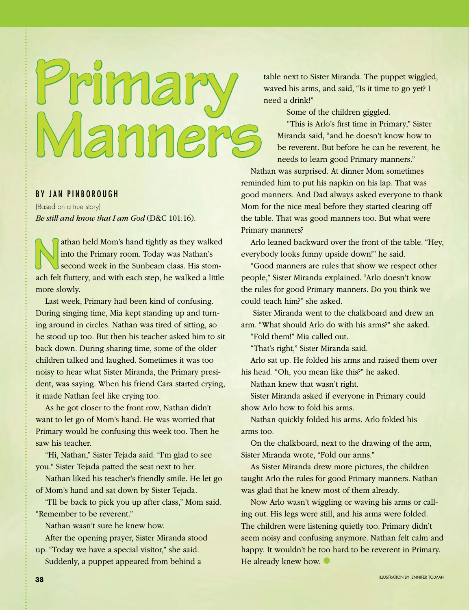## EXPRESS (Sister Miranda, The pupper wigging<br>waved his arms, and said, "Is it time to go yet? I need a drink!"<br>Some of the children giggled. amne

## BY JAN PINBOROUGH

 (Based on a true story) *Be still and know that I am God* (D&C 101:16).

athan held Mom's hand tightly as they walked<br>into the Primary room. Today was Nathan's<br>second week in the Sunbeam class. His stom-<br>ach felt fluttery and with each step, he walked a little into the Primary room. Today was Nathan's second week in the Sunbeam class. His stomach felt fluttery, and with each step, he walked a little more slowly.

 Last week, Primary had been kind of confusing. During singing time, Mia kept standing up and turning around in circles. Nathan was tired of sitting, so he stood up too. But then his teacher asked him to sit back down. During sharing time, some of the older children talked and laughed. Sometimes it was too noisy to hear what Sister Miranda, the Primary president, was saying. When his friend Cara started crying, it made Nathan feel like crying too.

 As he got closer to the front row, Nathan didn't want to let go of Mom's hand. He was worried that Primary would be confusing this week too. Then he saw his teacher.

 "Hi, Nathan," Sister Tejada said. "I'm glad to see you." Sister Tejada patted the seat next to her.

 Nathan liked his teacher's friendly smile. He let go of Mom's hand and sat down by Sister Tejada.

 "I'll be back to pick you up after class," Mom said. "Remember to be reverent."

Nathan wasn't sure he knew how.

 After the opening prayer, Sister Miranda stood up. "Today we have a special visitor," she said. Suddenly, a puppet appeared from behind a

table next to Sister Miranda. The puppet wiggled,

"This is Arlo's first time in Primary," Sister Miranda said, "and he doesn't know how to be reverent. But before he can be reverent, he needs to learn good Primary manners."

 Nathan was surprised. At dinner Mom sometimes reminded him to put his napkin on his lap. That was good manners. And Dad always asked everyone to thank Mom for the nice meal before they started clearing off the table. That was good manners too. But what were Primary manners?

 Arlo leaned backward over the front of the table. "Hey, everybody looks funny upside down!" he said.

 "Good manners are rules that show we respect other people," Sister Miranda explained. "Arlo doesn't know the rules for good Primary manners. Do you think we could teach him?" she asked.

 Sister Miranda went to the chalkboard and drew an arm. "What should Arlo do with his arms?" she asked.

"Fold them!" Mia called out.

"That's right," Sister Miranda said.

 Arlo sat up. He folded his arms and raised them over his head. "Oh, you mean like this?" he asked.

Nathan knew that wasn't right.

 Sister Miranda asked if everyone in Primary could show Arlo how to fold his arms.

 Nathan quickly folded his arms. Arlo folded his arms too.

 On the chalkboard, next to the drawing of the arm, Sister Miranda wrote, "Fold our arms."

 As Sister Miranda drew more pictures, the children taught Arlo the rules for good Primary manners. Nathan was glad that he knew most of them already.

 Now Arlo wasn't wiggling or waving his arms or calling out. His legs were still, and his arms were folded. The children were listening quietly too. Primary didn't seem noisy and confusing anymore. Nathan felt calm and happy. It wouldn't be too hard to be reverent in Primary. He already knew how.  $\bullet$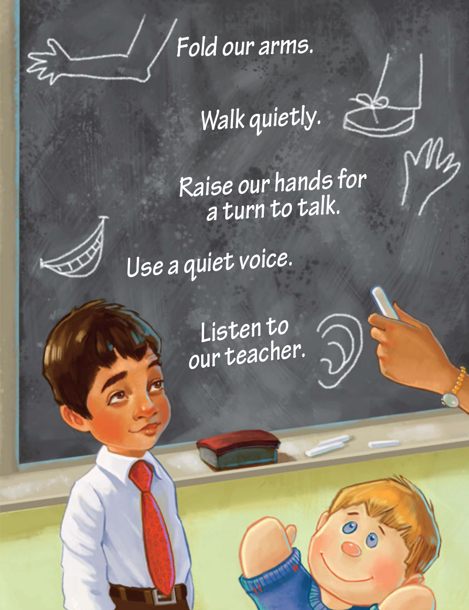

 *Fold our arms.*

*Walk quietly.*

∞

*Raise our hands for a turn to talk.*



*Use a quiet voice.*

*Listen to our teacher.*